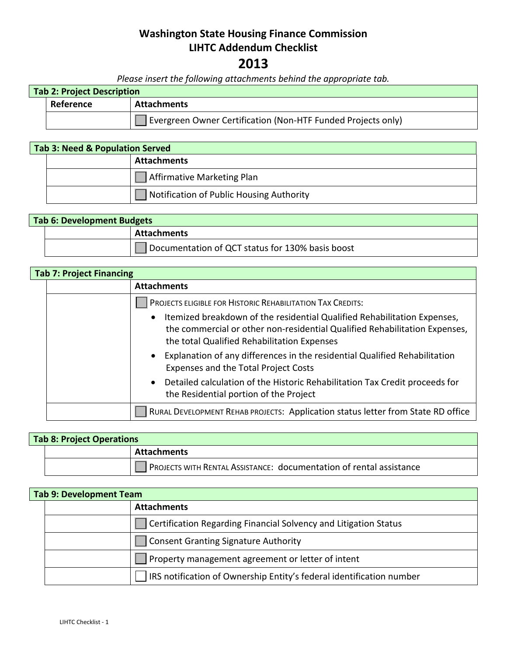## **Washington State Housing Finance Commission LIHTC Addendum Checklist**

## **2013**

*Please insert the following attachments behind the appropriate tab.*

| Tab 2: Project Description |                                                              |
|----------------------------|--------------------------------------------------------------|
| Reference                  | Attachments                                                  |
|                            | Evergreen Owner Certification (Non-HTF Funded Projects only) |

## **Tab 3: Need & Population Served Attachments** Affirmative Marketing Plan Notification of Public Housing Authority

| <b>Tab 6: Development Budgets</b> |  |                                                  |
|-----------------------------------|--|--------------------------------------------------|
|                                   |  | <b>Attachments</b>                               |
|                                   |  | Documentation of QCT status for 130% basis boost |

| <b>Tab 7: Project Financing</b> |                                                                                                                                                                                                       |
|---------------------------------|-------------------------------------------------------------------------------------------------------------------------------------------------------------------------------------------------------|
|                                 | <b>Attachments</b>                                                                                                                                                                                    |
|                                 | PROJECTS ELIGIBLE FOR HISTORIC REHABILITATION TAX CREDITS:                                                                                                                                            |
|                                 | Itemized breakdown of the residential Qualified Rehabilitation Expenses,<br>the commercial or other non-residential Qualified Rehabilitation Expenses,<br>the total Qualified Rehabilitation Expenses |
|                                 | Explanation of any differences in the residential Qualified Rehabilitation<br>$\bullet$<br>Expenses and the Total Project Costs                                                                       |
|                                 | • Detailed calculation of the Historic Rehabilitation Tax Credit proceeds for<br>the Residential portion of the Project                                                                               |
|                                 | RURAL DEVELOPMENT REHAB PROJECTS: Application status letter from State RD office                                                                                                                      |

| <b>Tab 8: Project Operations</b> |  |                                                                     |
|----------------------------------|--|---------------------------------------------------------------------|
|                                  |  | <b>Attachments</b>                                                  |
|                                  |  | PROJECTS WITH RENTAL ASSISTANCE: documentation of rental assistance |

| <b>Tab 9: Development Team</b> |  |                                                                            |
|--------------------------------|--|----------------------------------------------------------------------------|
|                                |  | <b>Attachments</b>                                                         |
|                                |  | $\vert$   Certification Regarding Financial Solvency and Litigation Status |
|                                |  | Consent Granting Signature Authority                                       |
|                                |  | Property management agreement or letter of intent                          |
|                                |  | IRS notification of Ownership Entity's federal identification number       |